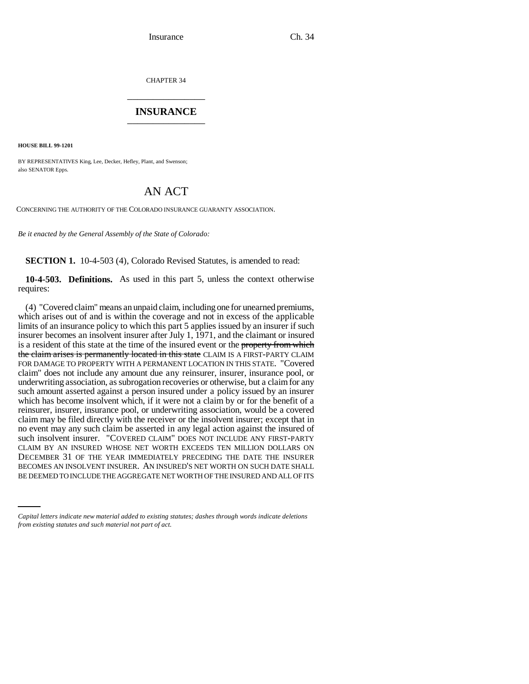CHAPTER 34 \_\_\_\_\_\_\_\_\_\_\_\_\_\_\_

### **INSURANCE** \_\_\_\_\_\_\_\_\_\_\_\_\_\_\_

**HOUSE BILL 99-1201** 

BY REPRESENTATIVES King, Lee, Decker, Hefley, Plant, and Swenson; also SENATOR Epps.

# AN ACT

CONCERNING THE AUTHORITY OF THE COLORADO INSURANCE GUARANTY ASSOCIATION.

*Be it enacted by the General Assembly of the State of Colorado:*

**SECTION 1.** 10-4-503 (4), Colorado Revised Statutes, is amended to read:

**10-4-503. Definitions.** As used in this part 5, unless the context otherwise requires:

DECEMBER 31 OF THE TEAR IMMEDIATELT FRECEDING THE DATE THE INSURER. BECOMES AN INSOLVENT INSURER. AN INSURED'S NET WORTH ON SUCH DATE SHALL (4) "Covered claim" means an unpaid claim, including one for unearned premiums, which arises out of and is within the coverage and not in excess of the applicable limits of an insurance policy to which this part 5 applies issued by an insurer if such insurer becomes an insolvent insurer after July 1, 1971, and the claimant or insured is a resident of this state at the time of the insured event or the property from which the claim arises is permanently located in this state CLAIM IS A FIRST-PARTY CLAIM FOR DAMAGE TO PROPERTY WITH A PERMANENT LOCATION IN THIS STATE. "Covered claim" does not include any amount due any reinsurer, insurer, insurance pool, or underwriting association, as subrogation recoveries or otherwise, but a claim for any such amount asserted against a person insured under a policy issued by an insurer which has become insolvent which, if it were not a claim by or for the benefit of a reinsurer, insurer, insurance pool, or underwriting association, would be a covered claim may be filed directly with the receiver or the insolvent insurer; except that in no event may any such claim be asserted in any legal action against the insured of such insolvent insurer. "COVERED CLAIM" DOES NOT INCLUDE ANY FIRST-PARTY CLAIM BY AN INSURED WHOSE NET WORTH EXCEEDS TEN MILLION DOLLARS ON DECEMBER 31 OF THE YEAR IMMEDIATELY PRECEDING THE DATE THE INSURER BE DEEMED TO INCLUDE THE AGGREGATE NET WORTH OF THE INSURED AND ALL OF ITS

*Capital letters indicate new material added to existing statutes; dashes through words indicate deletions from existing statutes and such material not part of act.*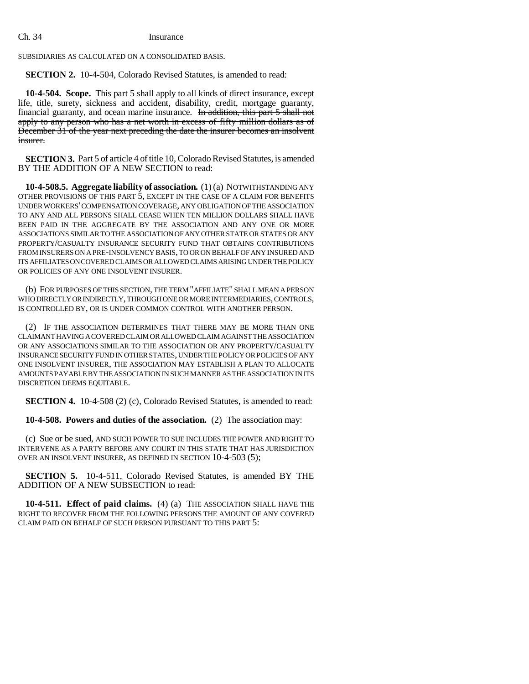#### Ch. 34 Insurance

SUBSIDIARIES AS CALCULATED ON A CONSOLIDATED BASIS.

**SECTION 2.** 10-4-504, Colorado Revised Statutes, is amended to read:

**10-4-504. Scope.** This part 5 shall apply to all kinds of direct insurance, except life, title, surety, sickness and accident, disability, credit, mortgage guaranty, financial guaranty, and ocean marine insurance. In addition, this part 5 shall not apply to any person who has a net worth in excess of fifty million dollars as of December 31 of the year next preceding the date the insurer becomes an insolvent insurer.

**SECTION 3.** Part 5 of article 4 of title 10, Colorado Revised Statutes, is amended BY THE ADDITION OF A NEW SECTION to read:

**10-4-508.5. Aggregate liability of association.** (1) (a) NOTWITHSTANDING ANY OTHER PROVISIONS OF THIS PART 5, EXCEPT IN THE CASE OF A CLAIM FOR BENEFITS UNDER WORKERS' COMPENSATION COVERAGE, ANY OBLIGATION OF THE ASSOCIATION TO ANY AND ALL PERSONS SHALL CEASE WHEN TEN MILLION DOLLARS SHALL HAVE BEEN PAID IN THE AGGREGATE BY THE ASSOCIATION AND ANY ONE OR MORE ASSOCIATIONS SIMILAR TO THE ASSOCIATION OF ANY OTHER STATE OR STATES OR ANY PROPERTY/CASUALTY INSURANCE SECURITY FUND THAT OBTAINS CONTRIBUTIONS FROM INSURERS ON A PRE-INSOLVENCY BASIS, TO OR ON BEHALF OF ANY INSURED AND ITS AFFILIATES ON COVERED CLAIMS OR ALLOWED CLAIMS ARISING UNDER THE POLICY OR POLICIES OF ANY ONE INSOLVENT INSURER.

(b) FOR PURPOSES OF THIS SECTION, THE TERM "AFFILIATE" SHALL MEAN A PERSON WHO DIRECTLY OR INDIRECTLY, THROUGH ONE OR MORE INTERMEDIARIES, CONTROLS, IS CONTROLLED BY, OR IS UNDER COMMON CONTROL WITH ANOTHER PERSON.

(2) IF THE ASSOCIATION DETERMINES THAT THERE MAY BE MORE THAN ONE CLAIMANT HAVING A COVERED CLAIM OR ALLOWED CLAIM AGAINST THE ASSOCIATION OR ANY ASSOCIATIONS SIMILAR TO THE ASSOCIATION OR ANY PROPERTY/CASUALTY INSURANCE SECURITY FUND IN OTHER STATES, UNDER THE POLICY OR POLICIES OF ANY ONE INSOLVENT INSURER, THE ASSOCIATION MAY ESTABLISH A PLAN TO ALLOCATE AMOUNTS PAYABLE BY THE ASSOCIATION IN SUCH MANNER AS THE ASSOCIATION IN ITS DISCRETION DEEMS EQUITABLE.

**SECTION 4.** 10-4-508 (2) (c), Colorado Revised Statutes, is amended to read:

**10-4-508. Powers and duties of the association.** (2) The association may:

(c) Sue or be sued, AND SUCH POWER TO SUE INCLUDES THE POWER AND RIGHT TO INTERVENE AS A PARTY BEFORE ANY COURT IN THIS STATE THAT HAS JURISDICTION OVER AN INSOLVENT INSURER, AS DEFINED IN SECTION 10-4-503 (5);

**SECTION 5.** 10-4-511, Colorado Revised Statutes, is amended BY THE ADDITION OF A NEW SUBSECTION to read:

**10-4-511. Effect of paid claims.** (4) (a) THE ASSOCIATION SHALL HAVE THE RIGHT TO RECOVER FROM THE FOLLOWING PERSONS THE AMOUNT OF ANY COVERED CLAIM PAID ON BEHALF OF SUCH PERSON PURSUANT TO THIS PART 5: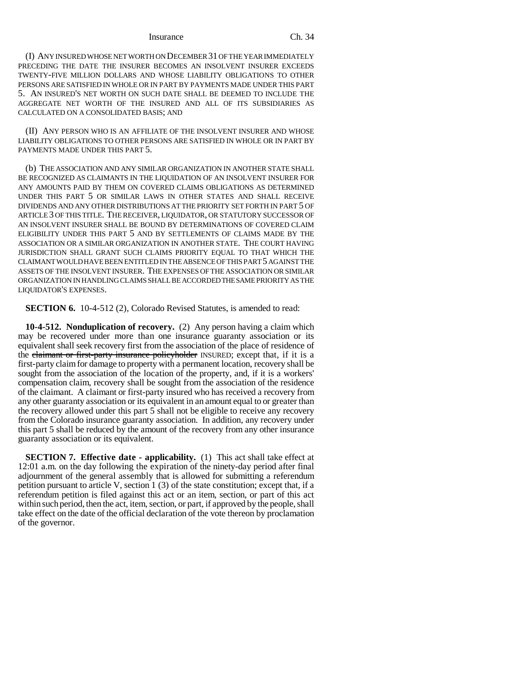#### Insurance Ch. 34

(I) ANY INSURED WHOSE NET WORTH ON DECEMBER 31 OF THE YEAR IMMEDIATELY PRECEDING THE DATE THE INSURER BECOMES AN INSOLVENT INSURER EXCEEDS TWENTY-FIVE MILLION DOLLARS AND WHOSE LIABILITY OBLIGATIONS TO OTHER PERSONS ARE SATISFIED IN WHOLE OR IN PART BY PAYMENTS MADE UNDER THIS PART 5. AN INSURED'S NET WORTH ON SUCH DATE SHALL BE DEEMED TO INCLUDE THE AGGREGATE NET WORTH OF THE INSURED AND ALL OF ITS SUBSIDIARIES AS CALCULATED ON A CONSOLIDATED BASIS; AND

(II) ANY PERSON WHO IS AN AFFILIATE OF THE INSOLVENT INSURER AND WHOSE LIABILITY OBLIGATIONS TO OTHER PERSONS ARE SATISFIED IN WHOLE OR IN PART BY PAYMENTS MADE UNDER THIS PART 5.

(b) THE ASSOCIATION AND ANY SIMILAR ORGANIZATION IN ANOTHER STATE SHALL BE RECOGNIZED AS CLAIMANTS IN THE LIQUIDATION OF AN INSOLVENT INSURER FOR ANY AMOUNTS PAID BY THEM ON COVERED CLAIMS OBLIGATIONS AS DETERMINED UNDER THIS PART 5 OR SIMILAR LAWS IN OTHER STATES AND SHALL RECEIVE DIVIDENDS AND ANY OTHER DISTRIBUTIONS AT THE PRIORITY SET FORTH IN PART 5 OF ARTICLE 3 OF THIS TITLE. THE RECEIVER, LIQUIDATOR, OR STATUTORY SUCCESSOR OF AN INSOLVENT INSURER SHALL BE BOUND BY DETERMINATIONS OF COVERED CLAIM ELIGIBILITY UNDER THIS PART 5 AND BY SETTLEMENTS OF CLAIMS MADE BY THE ASSOCIATION OR A SIMILAR ORGANIZATION IN ANOTHER STATE. THE COURT HAVING JURISDICTION SHALL GRANT SUCH CLAIMS PRIORITY EQUAL TO THAT WHICH THE CLAIMANT WOULD HAVE BEEN ENTITLED IN THE ABSENCE OF THIS PART 5 AGAINST THE ASSETS OF THE INSOLVENT INSURER. THE EXPENSES OF THE ASSOCIATION OR SIMILAR ORGANIZATION IN HANDLING CLAIMS SHALL BE ACCORDED THE SAME PRIORITY AS THE LIQUIDATOR'S EXPENSES.

**SECTION 6.** 10-4-512 (2), Colorado Revised Statutes, is amended to read:

**10-4-512. Nonduplication of recovery.** (2) Any person having a claim which may be recovered under more than one insurance guaranty association or its equivalent shall seek recovery first from the association of the place of residence of the claimant or first-party insurance policyholder INSURED; except that, if it is a first-party claim for damage to property with a permanent location, recovery shall be sought from the association of the location of the property, and, if it is a workers' compensation claim, recovery shall be sought from the association of the residence of the claimant. A claimant or first-party insured who has received a recovery from any other guaranty association or its equivalent in an amount equal to or greater than the recovery allowed under this part 5 shall not be eligible to receive any recovery from the Colorado insurance guaranty association. In addition, any recovery under this part 5 shall be reduced by the amount of the recovery from any other insurance guaranty association or its equivalent.

**SECTION 7. Effective date - applicability.** (1) This act shall take effect at 12:01 a.m. on the day following the expiration of the ninety-day period after final adjournment of the general assembly that is allowed for submitting a referendum petition pursuant to article V, section  $1(3)$  of the state constitution; except that, if a referendum petition is filed against this act or an item, section, or part of this act within such period, then the act, item, section, or part, if approved by the people, shall take effect on the date of the official declaration of the vote thereon by proclamation of the governor.